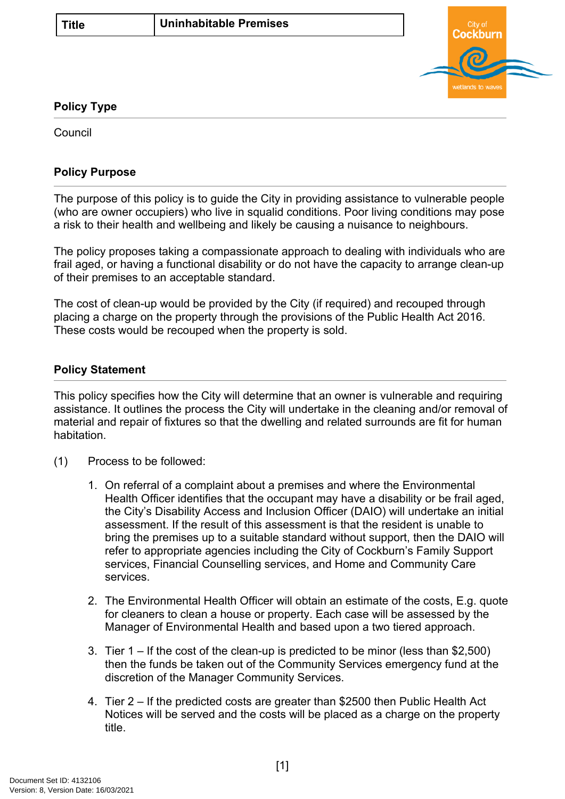

## **Policy Type**

Council

## **Policy Purpose**

The purpose of this policy is to guide the City in providing assistance to vulnerable people (who are owner occupiers) who live in squalid conditions. Poor living conditions may pose a risk to their health and wellbeing and likely be causing a nuisance to neighbours.

The policy proposes taking a compassionate approach to dealing with individuals who are frail aged, or having a functional disability or do not have the capacity to arrange clean-up of their premises to an acceptable standard.

The cost of clean-up would be provided by the City (if required) and recouped through placing a charge on the property through the provisions of the Public Health Act 2016. These costs would be recouped when the property is sold.

## <span id="page-0-0"></span>**[Policy Statement](#page-0-0)**

This policy specifies how the City will determine that an owner is vulnerable and requiring assistance. It outlines the process the City will undertake in the cleaning and/or removal of material and repair of fixtures so that the dwelling and related surrounds are fit for human habitation.

- (1) Process to be followed:
	- 1. On referral of a complaint about a premises and where the Environmental Health Officer identifies that the occupant may have a disability or be frail aged, the City's Disability Access and Inclusion Officer (DAIO) will undertake an initial assessment. If the result of this assessment is that the resident is unable to bring the premises up to a suitable standard without support, then the DAIO will refer to appropriate agencies including the City of Cockburn's Family Support services, Financial Counselling services, and Home and Community Care services.
	- 2. The Environmental Health Officer will obtain an estimate of the costs, E.g. quote for cleaners to clean a house or property. Each case will be assessed by the Manager of Environmental Health and based upon a two tiered approach.
	- 3. Tier 1 If the cost of the clean-up is predicted to be minor (less than \$2,500) then the funds be taken out of the Community Services emergency fund at the discretion of the Manager Community Services.
	- 4. Tier 2 If the predicted costs are greater than \$2500 then Public Health Act Notices will be served and the costs will be placed as a charge on the property title.